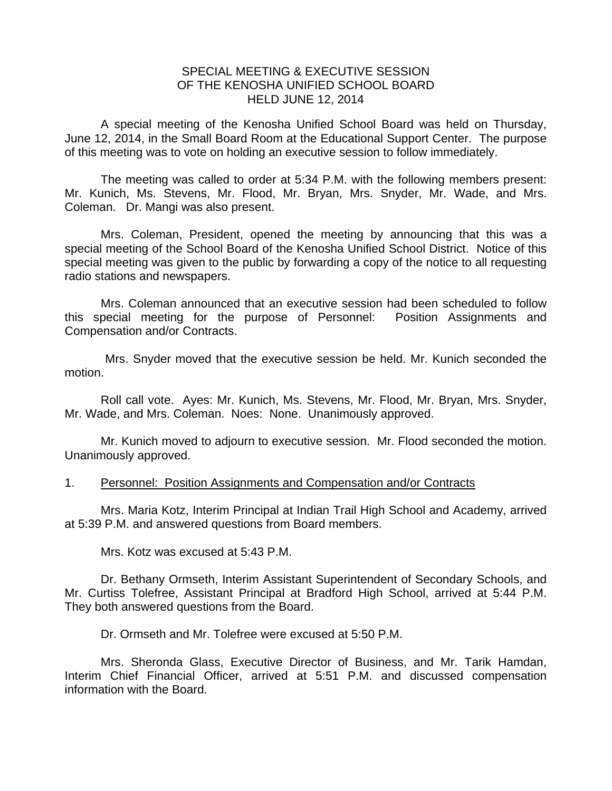## SPECIAL MEETING & EXECUTIVE SESSION OF THE KENOSHA UNIFIED SCHOOL BOARD HELD JUNE 12, 2014

A special meeting of the Kenosha Unified School Board was held on Thursday, June 12, 2014, in the Small Board Room at the Educational Support Center. The purpose of this meeting was to vote on holding an executive session to follow immediately.

 The meeting was called to order at 5:34 P.M. with the following members present: Mr. Kunich, Ms. Stevens, Mr. Flood, Mr. Bryan, Mrs. Snyder, Mr. Wade, and Mrs. Coleman. Dr. Mangi was also present.

 Mrs. Coleman, President, opened the meeting by announcing that this was a special meeting of the School Board of the Kenosha Unified School District. Notice of this special meeting was given to the public by forwarding a copy of the notice to all requesting radio stations and newspapers.

 Mrs. Coleman announced that an executive session had been scheduled to follow this special meeting for the purpose of Personnel: Position Assignments and Compensation and/or Contracts.

 Mrs. Snyder moved that the executive session be held. Mr. Kunich seconded the motion.

 Roll call vote. Ayes: Mr. Kunich, Ms. Stevens, Mr. Flood, Mr. Bryan, Mrs. Snyder, Mr. Wade, and Mrs. Coleman. Noes: None. Unanimously approved.

 Mr. Kunich moved to adjourn to executive session. Mr. Flood seconded the motion. Unanimously approved.

## 1. Personnel: Position Assignments and Compensation and/or Contracts

Mrs. Maria Kotz, Interim Principal at Indian Trail High School and Academy, arrived at 5:39 P.M. and answered questions from Board members.

Mrs. Kotz was excused at 5:43 P.M.

Dr. Bethany Ormseth, Interim Assistant Superintendent of Secondary Schools, and Mr. Curtiss Tolefree, Assistant Principal at Bradford High School, arrived at 5:44 P.M. They both answered questions from the Board.

Dr. Ormseth and Mr. Tolefree were excused at 5:50 P.M.

Mrs. Sheronda Glass, Executive Director of Business, and Mr. Tarik Hamdan, Interim Chief Financial Officer, arrived at 5:51 P.M. and discussed compensation information with the Board.